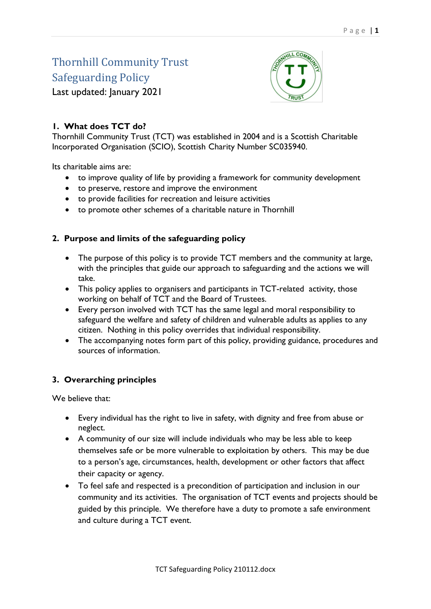# Thornhill Community Trust Safeguarding Policy



Last updated: January 2021

# **1. What does TCT do?**

Thornhill Community Trust (TCT) was established in 2004 and is a Scottish Charitable Incorporated Organisation (SCIO), Scottish Charity Number SC035940.

Its charitable aims are:

- to improve quality of life by providing a framework for community development
- to preserve, restore and improve the environment
- to provide facilities for recreation and leisure activities
- to promote other schemes of a charitable nature in Thornhill

## **2. Purpose and limits of the safeguarding policy**

- The purpose of this policy is to provide TCT members and the community at large, with the principles that guide our approach to safeguarding and the actions we will take.
- This policy applies to organisers and participants in TCT-related activity, those working on behalf of TCT and the Board of Trustees.
- Every person involved with TCT has the same legal and moral responsibility to safeguard the welfare and safety of children and vulnerable adults as applies to any citizen. Nothing in this policy overrides that individual responsibility.
- The accompanying notes form part of this policy, providing guidance, procedures and sources of information.

## **3. Overarching principles**

We believe that:

- Every individual has the right to live in safety, with dignity and free from abuse or neglect.
- A community of our size will include individuals who may be less able to keep themselves safe or be more vulnerable to exploitation by others. This may be due to a person's age, circumstances, health, development or other factors that affect their capacity or agency.
- To feel safe and respected is a precondition of participation and inclusion in our community and its activities. The organisation of TCT events and projects should be guided by this principle. We therefore have a duty to promote a safe environment and culture during a TCT event.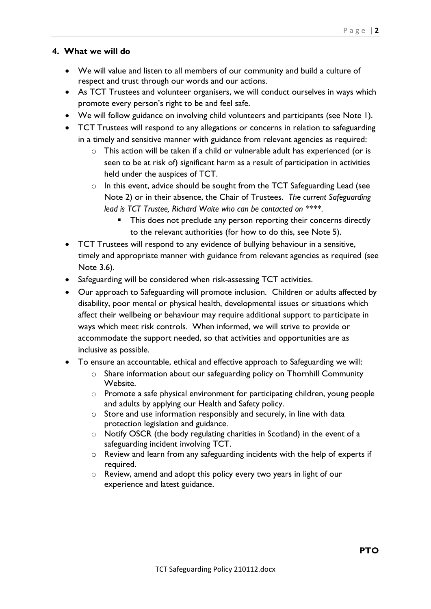#### **4. What we will do**

- We will value and listen to all members of our community and build a culture of respect and trust through our words and our actions.
- As TCT Trustees and volunteer organisers, we will conduct ourselves in ways which promote every person's right to be and feel safe.
- We will follow guidance on involving child volunteers and participants (see Note 1).
- TCT Trustees will respond to any allegations or concerns in relation to safeguarding in a timely and sensitive manner with guidance from relevant agencies as required:
	- o This action will be taken if a child or vulnerable adult has experienced (or is seen to be at risk of) significant harm as a result of participation in activities held under the auspices of TCT.
	- o In this event, advice should be sought from the TCT Safeguarding Lead (see Note 2) or in their absence, the Chair of Trustees. *The current Safeguarding lead is TCT Trustee, Richard Waite who can be contacted on \*\*\*\**.
		- This does not preclude any person reporting their concerns directly to the relevant authorities (for how to do this, see Note 5).
- TCT Trustees will respond to any evidence of bullying behaviour in a sensitive, timely and appropriate manner with guidance from relevant agencies as required (see Note 3.6).
- Safeguarding will be considered when risk-assessing TCT activities.
- Our approach to Safeguarding will promote inclusion. Children or adults affected by disability, poor mental or physical health, developmental issues or situations which affect their wellbeing or behaviour may require additional support to participate in ways which meet risk controls. When informed, we will strive to provide or accommodate the support needed, so that activities and opportunities are as inclusive as possible.
- To ensure an accountable, ethical and effective approach to Safeguarding we will:
	- o Share information about our safeguarding policy on Thornhill Community Website.
	- o Promote a safe physical environment for participating children, young people and adults by applying our Health and Safety policy.
	- o Store and use information responsibly and securely, in line with data protection legislation and guidance.
	- o Notify OSCR (the body regulating charities in Scotland) in the event of a safeguarding incident involving TCT.
	- o Review and learn from any safeguarding incidents with the help of experts if required.
	- o Review, amend and adopt this policy every two years in light of our experience and latest guidance.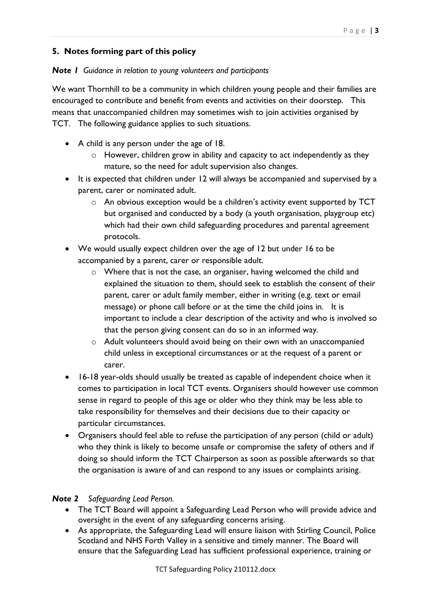## **5. Notes forming part of this policy**

#### *Note 1 Guidance in relation to young volunteers and participants*

We want Thornhill to be a community in which children young people and their families are encouraged to contribute and benefit from events and activities on their doorstep. This means that unaccompanied children may sometimes wish to join activities organised by TCT. The following guidance applies to such situations.

- A child is any person under the age of 18.
	- o However, children grow in ability and capacity to act independently as they mature, so the need for adult supervision also changes.
- It is expected that children under 12 will always be accompanied and supervised by a parent, carer or nominated adult.
	- o An obvious exception would be a children's activity event supported by TCT but organised and conducted by a body (a youth organisation, playgroup etc) which had their own child safeguarding procedures and parental agreement protocols.
- We would usually expect children over the age of 12 but under 16 to be accompanied by a parent, carer or responsible adult.
	- o Where that is not the case, an organiser, having welcomed the child and explained the situation to them, should seek to establish the consent of their parent, carer or adult family member, either in writing (e.g. text or email message) or phone call before or at the time the child joins in. It is important to include a clear description of the activity and who is involved so that the person giving consent can do so in an informed way.
	- $\circ$  Adult volunteers should avoid being on their own with an unaccompanied child unless in exceptional circumstances or at the request of a parent or carer.
- 16-18 year-olds should usually be treated as capable of independent choice when it comes to participation in local TCT events. Organisers should however use common sense in regard to people of this age or older who they think may be less able to take responsibility for themselves and their decisions due to their capacity or particular circumstances.
- Organisers should feel able to refuse the participation of any person (child or adult) who they think is likely to become unsafe or compromise the safety of others and if doing so should inform the TCT Chairperson as soon as possible afterwards so that the organisation is aware of and can respond to any issues or complaints arising.

## *Note 2 Safeguarding Lead Person.*

- The TCT Board will appoint a Safeguarding Lead Person who will provide advice and oversight in the event of any safeguarding concerns arising.
- As appropriate, the Safeguarding Lead will ensure liaison with Stirling Council, Police Scotland and NHS Forth Valley in a sensitive and timely manner. The Board will ensure that the Safeguarding Lead has sufficient professional experience, training or